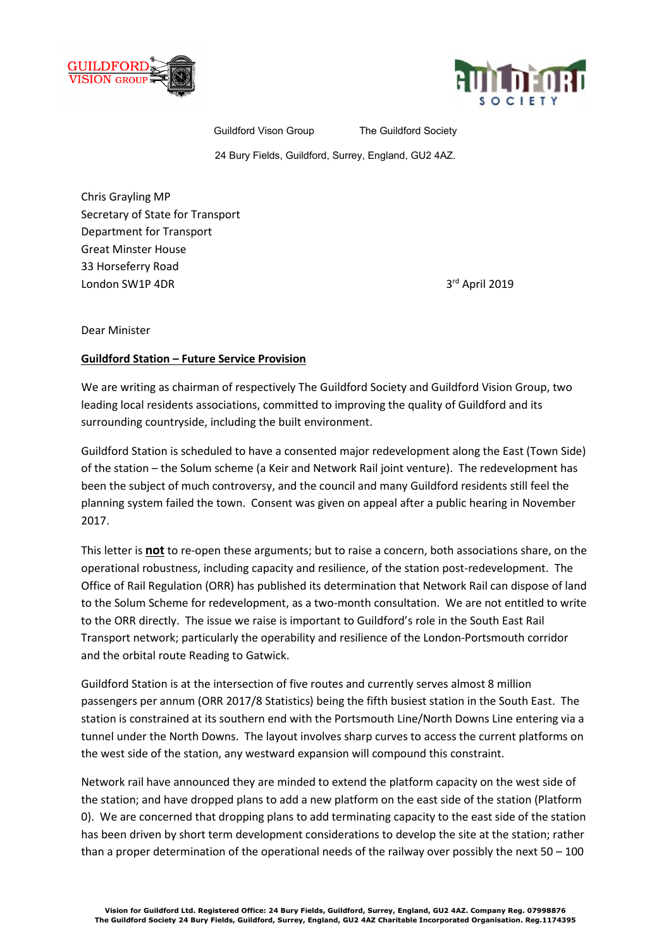



Guildford Vison Group The Guildford Society

24 Bury Fields, Guildford, Surrey, England, GU2 4AZ.

Chris Grayling MP Secretary of State for Transport Department for Transport Great Minster House 33 Horseferry Road London SW1P 4DR 3<sup>rd</sup> April 2019

Dear Minister

## **Guildford Station – Future Service Provision**

We are writing as chairman of respectively The Guildford Society and Guildford Vision Group, two leading local residents associations, committed to improving the quality of Guildford and its surrounding countryside, including the built environment.

Guildford Station is scheduled to have a consented major redevelopment along the East (Town Side) of the station – the Solum scheme (a Keir and Network Rail joint venture). The redevelopment has been the subject of much controversy, and the council and many Guildford residents still feel the planning system failed the town. Consent was given on appeal after a public hearing in November 2017.

This letter is **not** to re-open these arguments; but to raise a concern, both associations share, on the operational robustness, including capacity and resilience, of the station post-redevelopment. The Office of Rail Regulation (ORR) has published its determination that Network Rail can dispose of land to the Solum Scheme for redevelopment, as a two-month consultation. We are not entitled to write to the ORR directly. The issue we raise is important to Guildford's role in the South East Rail Transport network; particularly the operability and resilience of the London-Portsmouth corridor and the orbital route Reading to Gatwick.

Guildford Station is at the intersection of five routes and currently serves almost 8 million passengers per annum (ORR 2017/8 Statistics) being the fifth busiest station in the South East. The station is constrained at its southern end with the Portsmouth Line/North Downs Line entering via a tunnel under the North Downs. The layout involves sharp curves to access the current platforms on the west side of the station, any westward expansion will compound this constraint.

Network rail have announced they are minded to extend the platform capacity on the west side of the station; and have dropped plans to add a new platform on the east side of the station (Platform 0). We are concerned that dropping plans to add terminating capacity to the east side of the station has been driven by short term development considerations to develop the site at the station; rather than a proper determination of the operational needs of the railway over possibly the next  $50 - 100$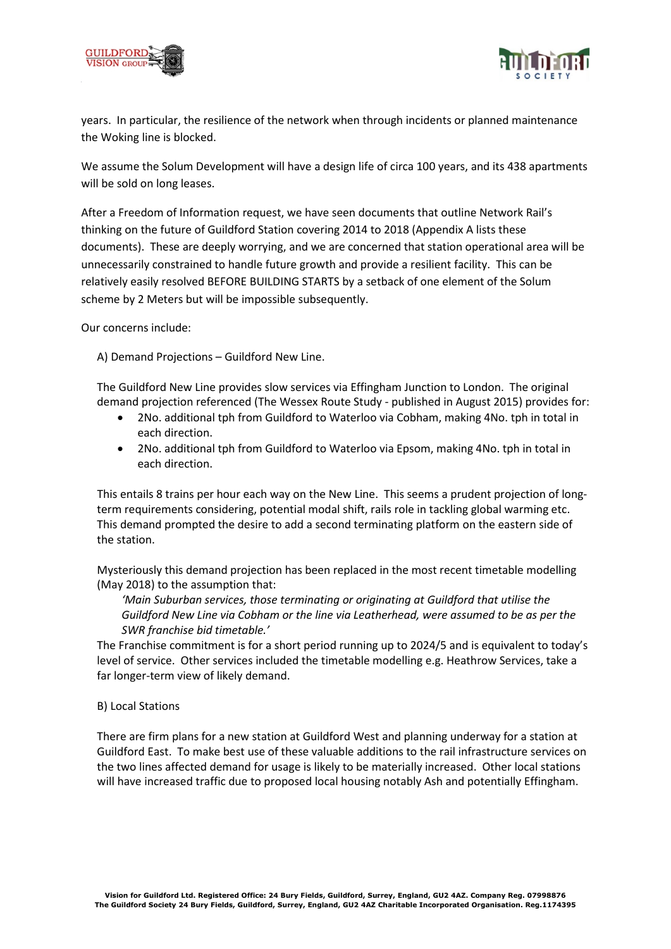



years. In particular, the resilience of the network when through incidents or planned maintenance the Woking line is blocked.

We assume the Solum Development will have a design life of circa 100 years, and its 438 apartments will be sold on long leases.

After a Freedom of Information request, we have seen documents that outline Network Rail's thinking on the future of Guildford Station covering 2014 to 2018 (Appendix A lists these documents). These are deeply worrying, and we are concerned that station operational area will be unnecessarily constrained to handle future growth and provide a resilient facility. This can be relatively easily resolved BEFORE BUILDING STARTS by a setback of one element of the Solum scheme by 2 Meters but will be impossible subsequently.

Our concerns include:

A) Demand Projections – Guildford New Line.

The Guildford New Line provides slow services via Effingham Junction to London. The original demand projection referenced (The Wessex Route Study - published in August 2015) provides for:

- 2No. additional tph from Guildford to Waterloo via Cobham, making 4No. tph in total in each direction.
- 2No. additional tph from Guildford to Waterloo via Epsom, making 4No. tph in total in each direction.

This entails 8 trains per hour each way on the New Line. This seems a prudent projection of longterm requirements considering, potential modal shift, rails role in tackling global warming etc. This demand prompted the desire to add a second terminating platform on the eastern side of the station.

Mysteriously this demand projection has been replaced in the most recent timetable modelling (May 2018) to the assumption that:

*'Main Suburban services, those terminating or originating at Guildford that utilise the Guildford New Line via Cobham or the line via Leatherhead, were assumed to be as per the SWR franchise bid timetable.'* 

The Franchise commitment is for a short period running up to 2024/5 and is equivalent to today's level of service. Other services included the timetable modelling e.g. Heathrow Services, take a far longer-term view of likely demand.

### B) Local Stations

There are firm plans for a new station at Guildford West and planning underway for a station at Guildford East. To make best use of these valuable additions to the rail infrastructure services on the two lines affected demand for usage is likely to be materially increased. Other local stations will have increased traffic due to proposed local housing notably Ash and potentially Effingham.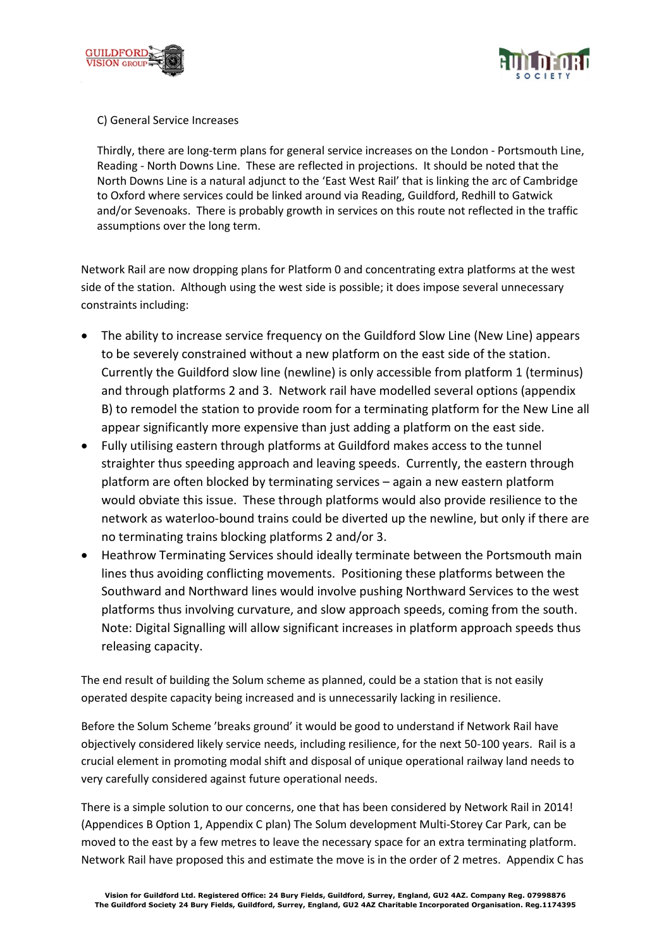



C) General Service Increases

Thirdly, there are long-term plans for general service increases on the London - Portsmouth Line, Reading - North Downs Line. These are reflected in projections. It should be noted that the North Downs Line is a natural adjunct to the 'East West Rail' that is linking the arc of Cambridge to Oxford where services could be linked around via Reading, Guildford, Redhill to Gatwick and/or Sevenoaks. There is probably growth in services on this route not reflected in the traffic assumptions over the long term.

Network Rail are now dropping plans for Platform 0 and concentrating extra platforms at the west side of the station. Although using the west side is possible; it does impose several unnecessary constraints including:

- The ability to increase service frequency on the Guildford Slow Line (New Line) appears to be severely constrained without a new platform on the east side of the station. Currently the Guildford slow line (newline) is only accessible from platform 1 (terminus) and through platforms 2 and 3. Network rail have modelled several options (appendix B) to remodel the station to provide room for a terminating platform for the New Line all appear significantly more expensive than just adding a platform on the east side.
- Fully utilising eastern through platforms at Guildford makes access to the tunnel straighter thus speeding approach and leaving speeds. Currently, the eastern through platform are often blocked by terminating services – again a new eastern platform would obviate this issue. These through platforms would also provide resilience to the network as waterloo-bound trains could be diverted up the newline, but only if there are no terminating trains blocking platforms 2 and/or 3.
- Heathrow Terminating Services should ideally terminate between the Portsmouth main lines thus avoiding conflicting movements. Positioning these platforms between the Southward and Northward lines would involve pushing Northward Services to the west platforms thus involving curvature, and slow approach speeds, coming from the south. Note: Digital Signalling will allow significant increases in platform approach speeds thus releasing capacity.

The end result of building the Solum scheme as planned, could be a station that is not easily operated despite capacity being increased and is unnecessarily lacking in resilience.

Before the Solum Scheme 'breaks ground' it would be good to understand if Network Rail have objectively considered likely service needs, including resilience, for the next 50-100 years. Rail is a crucial element in promoting modal shift and disposal of unique operational railway land needs to very carefully considered against future operational needs.

There is a simple solution to our concerns, one that has been considered by Network Rail in 2014! (Appendices B Option 1, Appendix C plan) The Solum development Multi-Storey Car Park, can be moved to the east by a few metres to leave the necessary space for an extra terminating platform. Network Rail have proposed this and estimate the move is in the order of 2 metres. Appendix C has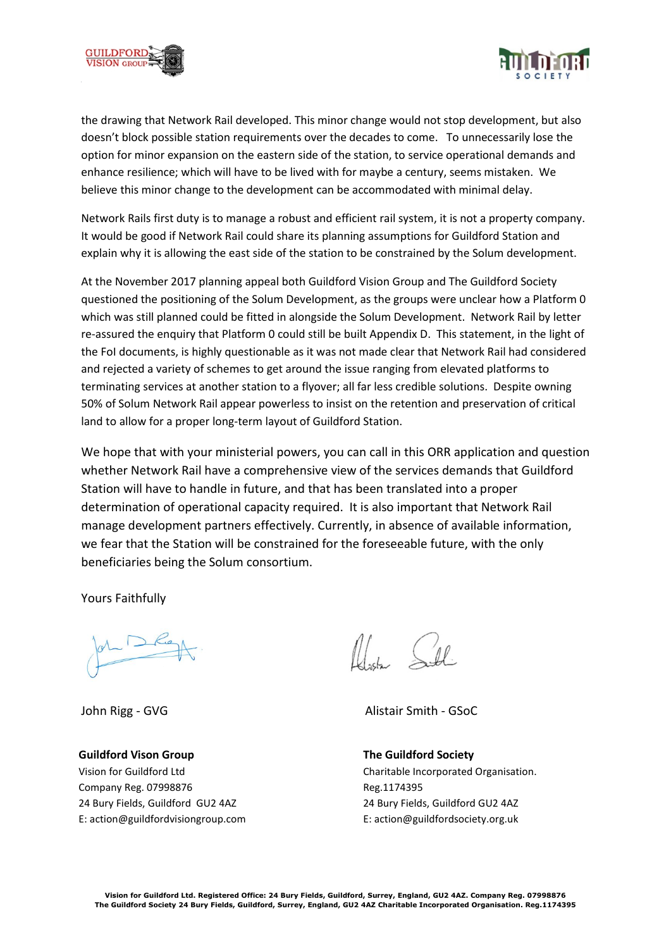



the drawing that Network Rail developed. This minor change would not stop development, but also doesn't block possible station requirements over the decades to come. To unnecessarily lose the option for minor expansion on the eastern side of the station, to service operational demands and enhance resilience; which will have to be lived with for maybe a century, seems mistaken. We believe this minor change to the development can be accommodated with minimal delay.

Network Rails first duty is to manage a robust and efficient rail system, it is not a property company. It would be good if Network Rail could share its planning assumptions for Guildford Station and explain why it is allowing the east side of the station to be constrained by the Solum development.

At the November 2017 planning appeal both Guildford Vision Group and The Guildford Society questioned the positioning of the Solum Development, as the groups were unclear how a Platform 0 which was still planned could be fitted in alongside the Solum Development. Network Rail by letter re-assured the enquiry that Platform 0 could still be built Appendix D. This statement, in the light of the FoI documents, is highly questionable as it was not made clear that Network Rail had considered and rejected a variety of schemes to get around the issue ranging from elevated platforms to terminating services at another station to a flyover; all far less credible solutions. Despite owning 50% of Solum Network Rail appear powerless to insist on the retention and preservation of critical land to allow for a proper long-term layout of Guildford Station.

We hope that with your ministerial powers, you can call in this ORR application and question whether Network Rail have a comprehensive view of the services demands that Guildford Station will have to handle in future, and that has been translated into a proper determination of operational capacity required. It is also important that Network Rail manage development partners effectively. Currently, in absence of available information, we fear that the Station will be constrained for the foreseeable future, with the only beneficiaries being the Solum consortium.

Yours Faithfully

**Guildford Vison Group** Vision for Guildford Ltd Company Reg. 07998876 24 Bury Fields, Guildford GU2 4AZ E: action@guildfordvisiongroup.com

Alich Soll

John Rigg - GVG Alistair Smith - GSoC

**The Guildford Society** Charitable Incorporated Organisation. Reg.1174395 24 Bury Fields, Guildford GU2 4AZ E: action@guildfordsociety.org.uk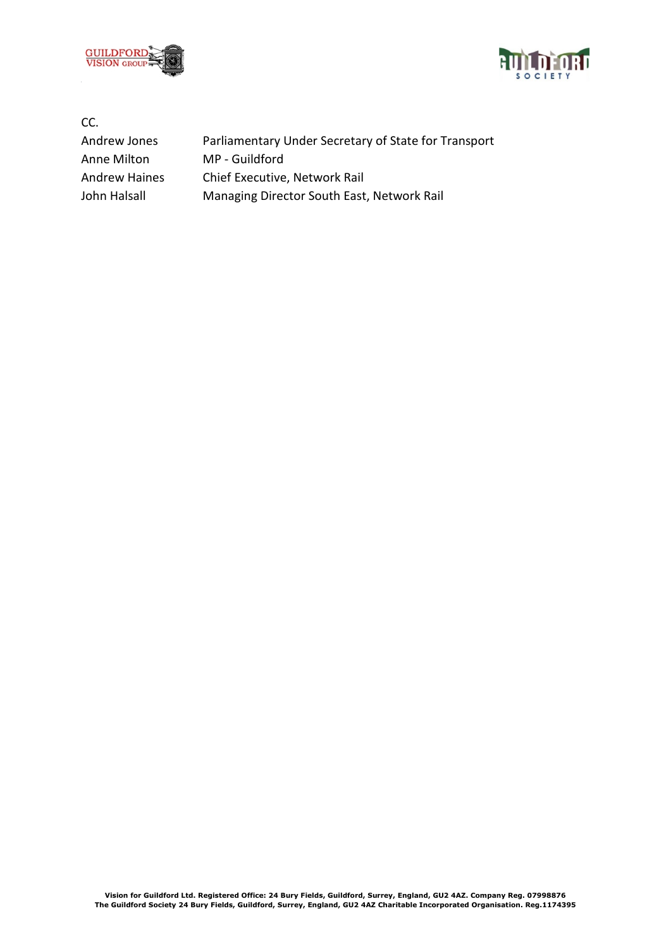



CC.

Anne Milton MP - Guildford

Andrew Jones Parliamentary Under Secretary of State for Transport Andrew Haines Chief Executive, Network Rail John Halsall Managing Director South East, Network Rail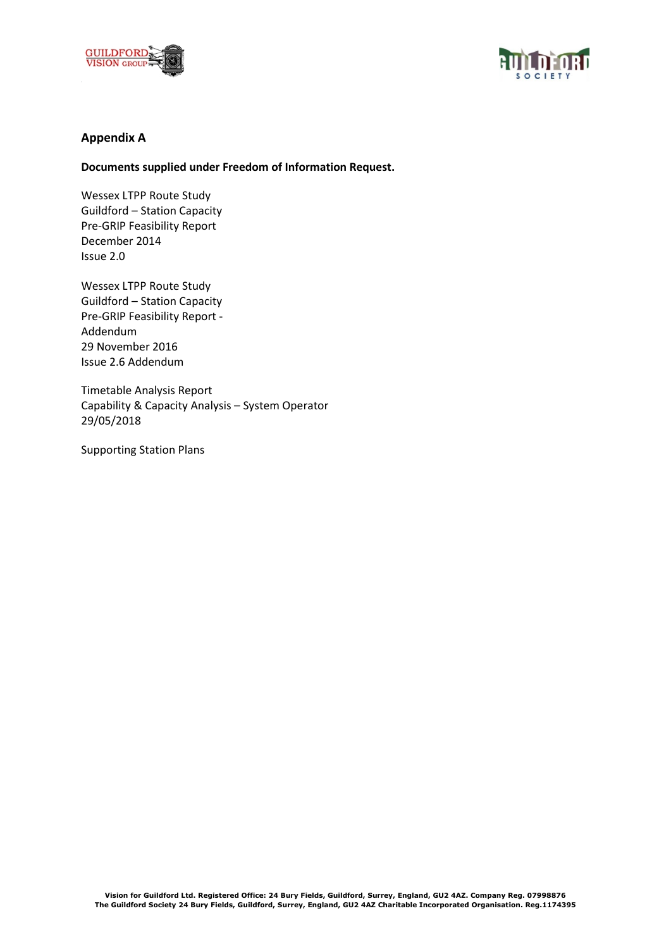



# **Appendix A**

### **Documents supplied under Freedom of Information Request.**

Wessex LTPP Route Study Guildford – Station Capacity Pre-GRIP Feasibility Report December 2014 Issue 2.0

Wessex LTPP Route Study Guildford – Station Capacity Pre-GRIP Feasibility Report - Addendum 29 November 2016 Issue 2.6 Addendum

Timetable Analysis Report Capability & Capacity Analysis – System Operator 29/05/2018

Supporting Station Plans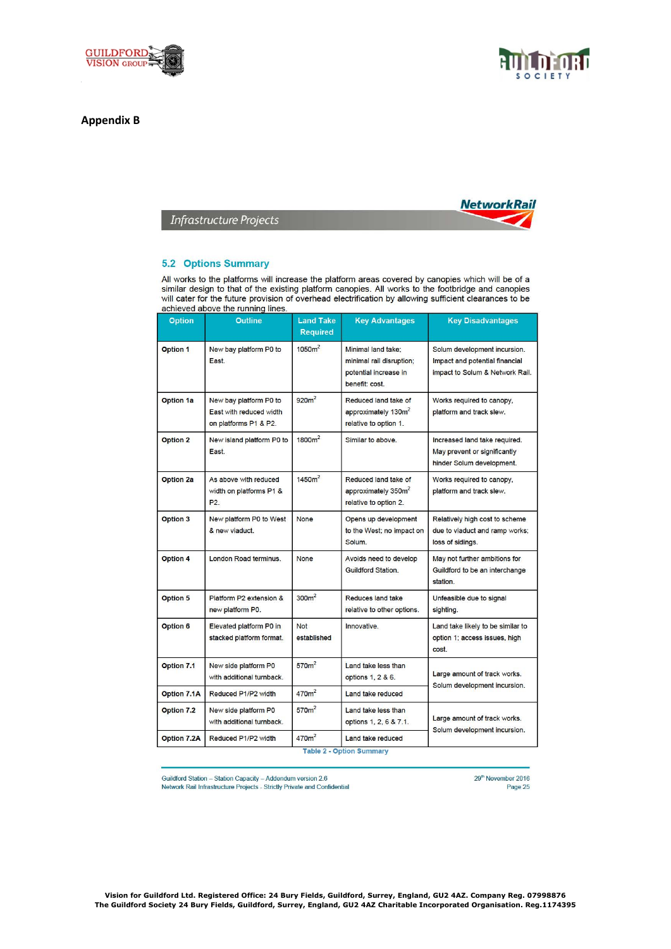

### **Appendix B**





**Infrastructure Projects** 

#### **5.2 Options Summary**

All works to the platforms will increase the platform areas covered by canopies which will be of a similar design to that of the existing platform canopies. All works to the footbridge and canopies<br>will cater for the future provision of overhead electrification by allowing sufficient clearances to be<br>will cater for the achieved above the running lines.

| <b>Option</b>      | <b>Outline</b>                                                             | <b>Land Take</b><br><b>Required</b> | <b>Key Advantages</b>                                                                     | <b>Key Disadvantages</b>                                                                          |
|--------------------|----------------------------------------------------------------------------|-------------------------------------|-------------------------------------------------------------------------------------------|---------------------------------------------------------------------------------------------------|
| <b>Option 1</b>    | New bay platform P0 to<br>East.                                            | 1050m <sup>2</sup>                  | Minimal land take:<br>minimal rail disruption;<br>potential increase in<br>benefit: cost. | Solum development incursion.<br>Impact and potential financial<br>impact to Solum & Network Rail. |
| <b>Option 1a</b>   | New bay platform P0 to<br>East with reduced width<br>on platforms P1 & P2. | 920m <sup>2</sup>                   | Reduced land take of<br>approximately 130m <sup>2</sup><br>relative to option 1.          | Works required to canopy,<br>platform and track slew.                                             |
| <b>Option 2</b>    | New island platform P0 to<br>East.                                         | 1800m <sup>2</sup>                  | Similar to above.                                                                         | Increased land take required.<br>May prevent or significantly<br>hinder Solum development.        |
| <b>Option 2a</b>   | As above with reduced<br>width on platforms P1 &<br>P <sub>2</sub>         | $1450m^2$                           | Reduced land take of<br>approximately 350m <sup>2</sup><br>relative to option 2.          | Works required to canopy,<br>platform and track slew.                                             |
| <b>Option 3</b>    | New platform P0 to West<br>& new viaduct.                                  | None                                | Opens up development<br>to the West; no impact on<br>Solum.                               | Relatively high cost to scheme<br>due to viaduct and ramp works;<br>loss of sidings.              |
| Option 4           | London Road terminus.                                                      | None                                | Avoids need to develop<br>Guildford Station.                                              | May not further ambitions for<br>Guildford to be an interchange<br>station.                       |
| <b>Option 5</b>    | Platform P2 extension &<br>new platform P0.                                | 300m <sup>2</sup>                   | Reduces land take<br>relative to other options.                                           | Unfeasible due to signal<br>sighting.                                                             |
| Option 6           | Elevated platform P0 in<br>stacked platform format.                        | Not<br>established                  | Innovative.                                                                               | Land take likely to be similar to<br>option 1; access issues, high<br>cost.                       |
| <b>Option 7.1</b>  | New side platform P0<br>with additional turnback.                          | 570m <sup>2</sup>                   | Land take less than<br>options 1, 2 & 6.                                                  | Large amount of track works.<br>Solum development incursion.                                      |
| Option 7.1A        | Reduced P1/P2 width                                                        | 470m <sup>2</sup>                   | Land take reduced                                                                         |                                                                                                   |
| Option 7.2         | New side platform P0<br>with additional turnback.                          | 570 <sub>m</sub> <sup>2</sup>       | Land take less than<br>options 1, 2, 6 & 7.1.                                             | Large amount of track works.<br>Solum development incursion.                                      |
| <b>Option 7.2A</b> | Reduced P1/P2 width                                                        | 470m <sup>2</sup>                   | Land take reduced<br>Table 2 - Ontion Summary                                             |                                                                                                   |

Guildford Station - Station Capacity - Addendum version 2.6 Network Rail Infrastructure Projects - Strictly Private and Confidential 29<sup>th</sup> November 2016 Page 25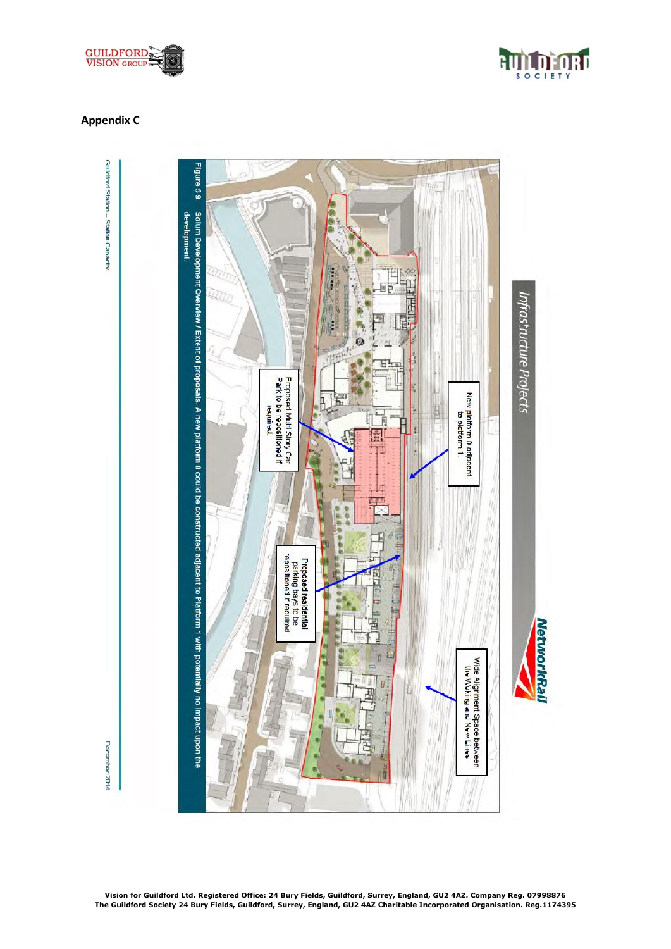



# **Appendix C**